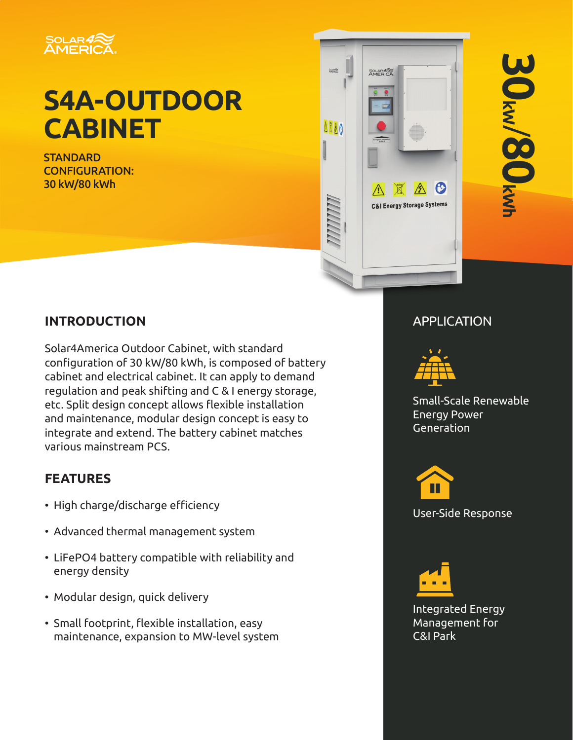

# **S4A-OUTDOOR CABINET**

**STANDARD** CONFIGURATION: 30 kW/80 kWh



# **INTRODUCTION** APPLICATION

Solar4America Outdoor Cabinet, with standard configuration of 30 kW/80 kWh, is composed of battery cabinet and electrical cabinet. It can apply to demand regulation and peak shifting and C & I energy storage, etc. Split design concept allows flexible installation and maintenance, modular design concept is easy to integrate and extend. The battery cabinet matches various mainstream PCS.

# **FEATURES**

- High charge/discharge efficiency
- Advanced thermal management system
- LiFePO4 battery compatible with reliability and energy density
- Modular design, quick delivery
- Small footprint, flexible installation, easy maintenance, expansion to MW-level system



Small-Scale Renewable Energy Power Generation



User-Side Response



Integrated Energy Management for C&I Park